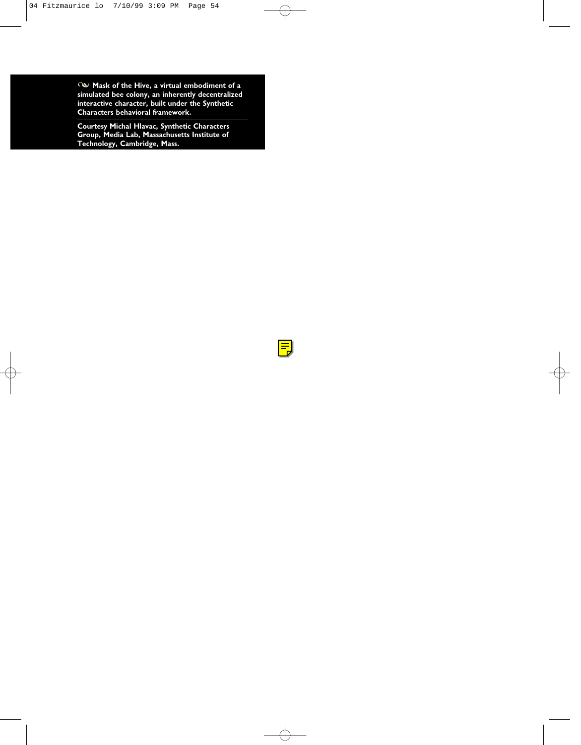$\infty$  Mask of the Hive, a virtual embodiment of a<br>simulated bee colony, an inherently decentralized interactive character, built under the Synthetic Characters behavioral framework.

Courtesy Michal Hlavac, Synthetic Characters Group, Media Lab, Massachusetts Institute of Technology, Cambridge, Mass.

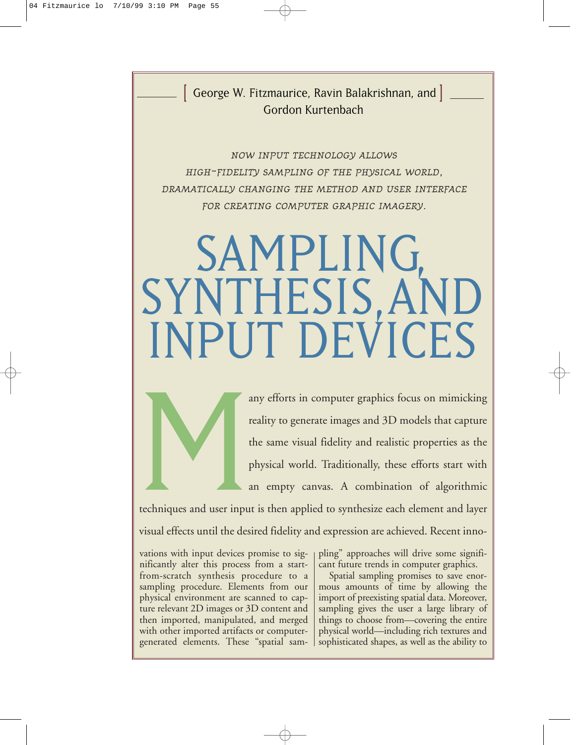George W. Fitzmaurice, Ravin Balakrishnan, and Gordon Kurtenbach

*now input technology allows high-fidelity sampling of the physical world, dramatically changing the method and user interface for creating computer graphic imagery.*

# SAMPLING<br>SYNTHESIS,A **INDEVIT**

any efforts in computer graphics focus on mimicking<br>reality to generate images and 3D models that capture<br>the same visual fidelity and realistic properties as the<br>physical world. Traditionally, these efforts start with<br>an reality to generate images and 3D models that capture the same visual fidelity and realistic properties as the physical world. Traditionally, these efforts start with an empty canvas. A combination of algorithmic

techniques and user input is then applied to synthesize each element and layer visual effects until the desired fidelity and expression are achieved. Recent inno-

vations with input devices promise to significantly alter this process from a startfrom-scratch synthesis procedure to a sampling procedure. Elements from our physical environment are scanned to capture relevant 2D images or 3D content and then imported, manipulated, and merged with other imported artifacts or computergenerated elements. These "spatial sampling" approaches will drive some significant future trends in computer graphics.

Spatial sampling promises to save enormous amounts of time by allowing the import of preexisting spatial data. Moreover, sampling gives the user a large library of things to choose from—covering the entire physical world—including rich textures and sophisticated shapes, as well as the ability to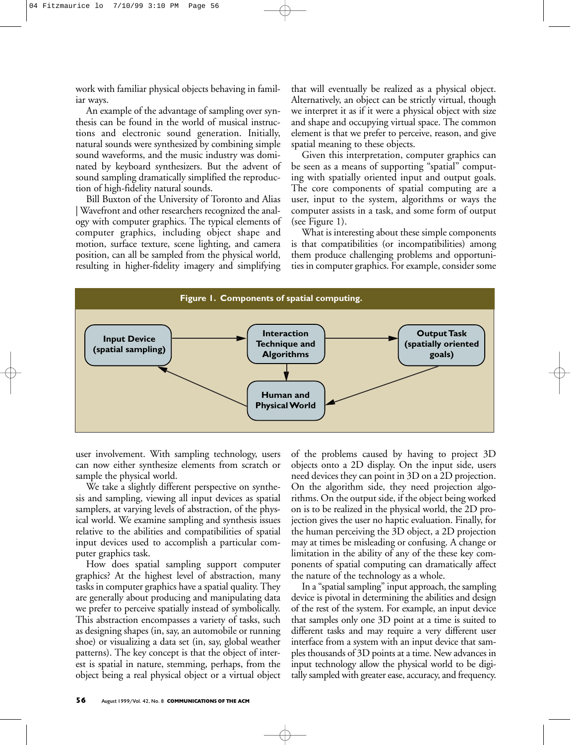work with familiar physical objects behaving in familiar ways.

An example of the advantage of sampling over synthesis can be found in the world of musical instructions and electronic sound generation. Initially, natural sounds were synthesized by combining simple sound waveforms, and the music industry was dominated by keyboard synthesizers. But the advent of sound sampling dramatically simplified the reproduction of high-fidelity natural sounds.

Bill Buxton of the University of Toronto and Alias | Wavefront and other researchers recognized the analogy with computer graphics. The typical elements of computer graphics, including object shape and motion, surface texture, scene lighting, and camera position, can all be sampled from the physical world, resulting in higher-fidelity imagery and simplifying

that will eventually be realized as a physical object. Alternatively, an object can be strictly virtual, though we interpret it as if it were a physical object with size and shape and occupying virtual space. The common element is that we prefer to perceive, reason, and give spatial meaning to these objects.

Given this interpretation, computer graphics can be seen as a means of supporting "spatial" computing with spatially oriented input and output goals. The core components of spatial computing are a user, input to the system, algorithms or ways the computer assists in a task, and some form of output (see Figure 1).

What is interesting about these simple components is that compatibilities (or incompatibilities) among them produce challenging problems and opportunities in computer graphics. For example, consider some



user involvement. With sampling technology, users can now either synthesize elements from scratch or sample the physical world.

We take a slightly different perspective on synthesis and sampling, viewing all input devices as spatial samplers, at varying levels of abstraction, of the physical world. We examine sampling and synthesis issues relative to the abilities and compatibilities of spatial input devices used to accomplish a particular computer graphics task.

How does spatial sampling support computer graphics? At the highest level of abstraction, many tasks in computer graphics have a spatial quality. They are generally about producing and manipulating data we prefer to perceive spatially instead of symbolically. This abstraction encompasses a variety of tasks, such as designing shapes (in, say, an automobile or running shoe) or visualizing a data set (in, say, global weather patterns). The key concept is that the object of interest is spatial in nature, stemming, perhaps, from the object being a real physical object or a virtual object

of the problems caused by having to project 3D objects onto a 2D display. On the input side, users need devices they can point in 3D on a 2D projection. On the algorithm side, they need projection algorithms. On the output side, if the object being worked on is to be realized in the physical world, the 2D projection gives the user no haptic evaluation. Finally, for the human perceiving the 3D object, a 2D projection may at times be misleading or confusing. A change or limitation in the ability of any of the these key components of spatial computing can dramatically affect the nature of the technology as a whole.

In a "spatial sampling" input approach, the sampling device is pivotal in determining the abilities and design of the rest of the system. For example, an input device that samples only one 3D point at a time is suited to different tasks and may require a very different user interface from a system with an input device that samples thousands of 3D points at a time. New advances in input technology allow the physical world to be digitally sampled with greater ease, accuracy, and frequency.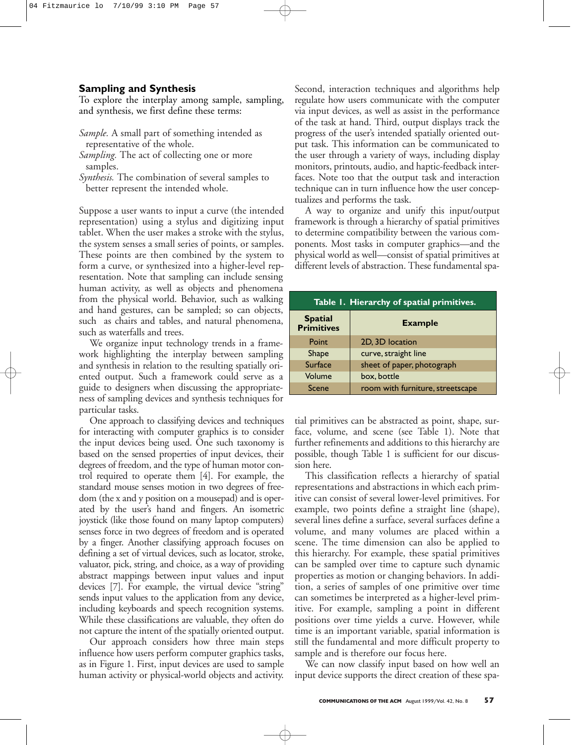### **Sampling and Synthesis**

To explore the interplay among sample, sampling, and synthesis, we first define these terms:

- *Sample.* A small part of something intended as representative of the whole.
- *Sampling.* The act of collecting one or more samples.
- *Synthesis.* The combination of several samples to better represent the intended whole.

Suppose a user wants to input a curve (the intended representation) using a stylus and digitizing input tablet. When the user makes a stroke with the stylus, the system senses a small series of points, or samples. These points are then combined by the system to form a curve, or synthesized into a higher-level representation. Note that sampling can include sensing human activity, as well as objects and phenomena from the physical world. Behavior, such as walking and hand gestures, can be sampled; so can objects, such as chairs and tables, and natural phenomena, such as waterfalls and trees.

We organize input technology trends in a framework highlighting the interplay between sampling and synthesis in relation to the resulting spatially oriented output. Such a framework could serve as a guide to designers when discussing the appropriateness of sampling devices and synthesis techniques for particular tasks.

One approach to classifying devices and techniques for interacting with computer graphics is to consider the input devices being used. One such taxonomy is based on the sensed properties of input devices, their degrees of freedom, and the type of human motor control required to operate them [4]. For example, the standard mouse senses motion in two degrees of freedom (the x and y position on a mousepad) and is operated by the user's hand and fingers. An isometric joystick (like those found on many laptop computers) senses force in two degrees of freedom and is operated by a finger. Another classifying approach focuses on defining a set of virtual devices, such as locator, stroke, valuator, pick, string, and choice, as a way of providing abstract mappings between input values and input devices [7]. For example, the virtual device "string" sends input values to the application from any device, including keyboards and speech recognition systems. While these classifications are valuable, they often do not capture the intent of the spatially oriented output.

Our approach considers how three main steps influence how users perform computer graphics tasks, as in Figure 1. First, input devices are used to sample human activity or physical-world objects and activity.

Second, interaction techniques and algorithms help regulate how users communicate with the computer via input devices, as well as assist in the performance of the task at hand. Third, output displays track the progress of the user's intended spatially oriented output task. This information can be communicated to the user through a variety of ways, including display monitors, printouts, audio, and haptic-feedback interfaces. Note too that the output task and interaction technique can in turn influence how the user conceptualizes and performs the task.

A way to organize and unify this input/output framework is through a hierarchy of spatial primitives to determine compatibility between the various components. Most tasks in computer graphics—and the physical world as well—consist of spatial primitives at different levels of abstraction. These fundamental spa-

| Table 1. Hierarchy of spatial primitives. |                                  |
|-------------------------------------------|----------------------------------|
| <b>Spatial</b><br><b>Primitives</b>       | <b>Example</b>                   |
| Point                                     | 2D, 3D location                  |
| Shape                                     | curve, straight line             |
| Surface                                   | sheet of paper, photograph       |
| Volume                                    | box, bottle                      |
| Scene                                     | room with furniture, streetscape |

tial primitives can be abstracted as point, shape, surface, volume, and scene (see Table 1). Note that further refinements and additions to this hierarchy are possible, though Table 1 is sufficient for our discussion here.

This classification reflects a hierarchy of spatial representations and abstractions in which each primitive can consist of several lower-level primitives. For example, two points define a straight line (shape), several lines define a surface, several surfaces define a volume, and many volumes are placed within a scene. The time dimension can also be applied to this hierarchy. For example, these spatial primitives can be sampled over time to capture such dynamic properties as motion or changing behaviors. In addition, a series of samples of one primitive over time can sometimes be interpreted as a higher-level primitive. For example, sampling a point in different positions over time yields a curve. However, while time is an important variable, spatial information is still the fundamental and more difficult property to sample and is therefore our focus here.

We can now classify input based on how well an input device supports the direct creation of these spa-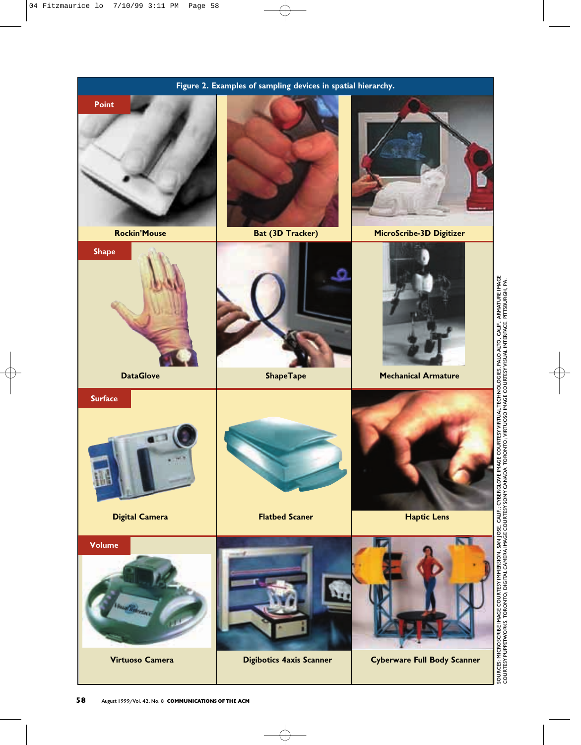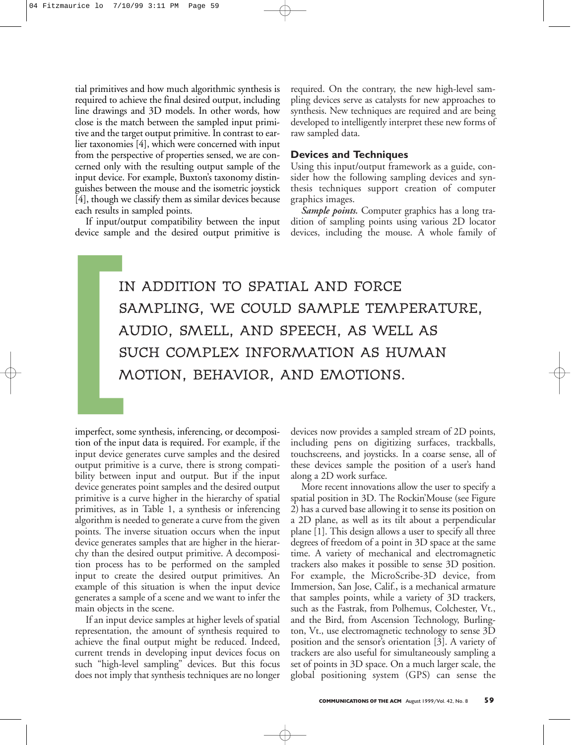tial primitives and how much algorithmic synthesis is required to achieve the final desired output, including line drawings and 3D models. In other words, how close is the match between the sampled input primitive and the target output primitive. In contrast to earlier taxonomies [4], which were concerned with input from the perspective of properties sensed, we are concerned only with the resulting output sample of the input device. For example, Buxton's taxonomy distinguishes between the mouse and the isometric joystick [4], though we classify them as similar devices because each results in sampled points.

If input/output compatibility between the input device sample and the desired output primitive is

required. On the contrary, the new high-level sampling devices serve as catalysts for new approaches to synthesis. New techniques are required and are being developed to intelligently interpret these new forms of raw sampled data.

### **Devices and Techniques**

Using this input/output framework as a guide, consider how the following sampling devices and synthesis techniques support creation of computer graphics images.

*Sample points.* Computer graphics has a long tradition of sampling points using various 2D locator devices, including the mouse. A whole family of

## in addition to spatial and force sampling, we could sample temperature, audio, smell, and speech, as well as such complex information as humanIN ADDITION TO SPATIAL AND FORCE<br>SAMPLING, WE COULD SAMPLE TEMPERA<br>AUDIO, SMELL, AND SPEECH, AS WELL AS<br>SUCH COMPLEX INFORMATION AS HUMA<br>MOTION, BEHAVIOR, AND EMOTIONS.

imperfect, some synthesis, inferencing, or decomposition of the input data is required**.** For example, if the input device generates curve samples and the desired output primitive is a curve, there is strong compatibility between input and output. But if the input device generates point samples and the desired output primitive is a curve higher in the hierarchy of spatial primitives, as in Table 1, a synthesis or inferencing algorithm is needed to generate a curve from the given points. The inverse situation occurs when the input device generates samples that are higher in the hierarchy than the desired output primitive. A decomposition process has to be performed on the sampled input to create the desired output primitives. An example of this situation is when the input device generates a sample of a scene and we want to infer the main objects in the scene.

If an input device samples at higher levels of spatial representation, the amount of synthesis required to achieve the final output might be reduced. Indeed, current trends in developing input devices focus on such "high-level sampling" devices. But this focus does not imply that synthesis techniques are no longer

devices now provides a sampled stream of 2D points, including pens on digitizing surfaces, trackballs, touchscreens, and joysticks. In a coarse sense, all of these devices sample the position of a user's hand along a 2D work surface.

More recent innovations allow the user to specify a spatial position in 3D. The Rockin'Mouse (see Figure 2) has a curved base allowing it to sense its position on a 2D plane, as well as its tilt about a perpendicular plane [1]. This design allows a user to specify all three degrees of freedom of a point in 3D space at the same time. A variety of mechanical and electromagnetic trackers also makes it possible to sense 3D position. For example, the MicroScribe-3D device, from Immersion, San Jose, Calif.**,** is a mechanical armature that samples points, while a variety of 3D trackers, such as the Fastrak, from Polhemus, Colchester, Vt., and the Bird, from Ascension Technology, Burlington, Vt., use electromagnetic technology to sense 3D position and the sensor's orientation [3]. A variety of trackers are also useful for simultaneously sampling a set of points in 3D space. On a much larger scale, the global positioning system (GPS) can sense the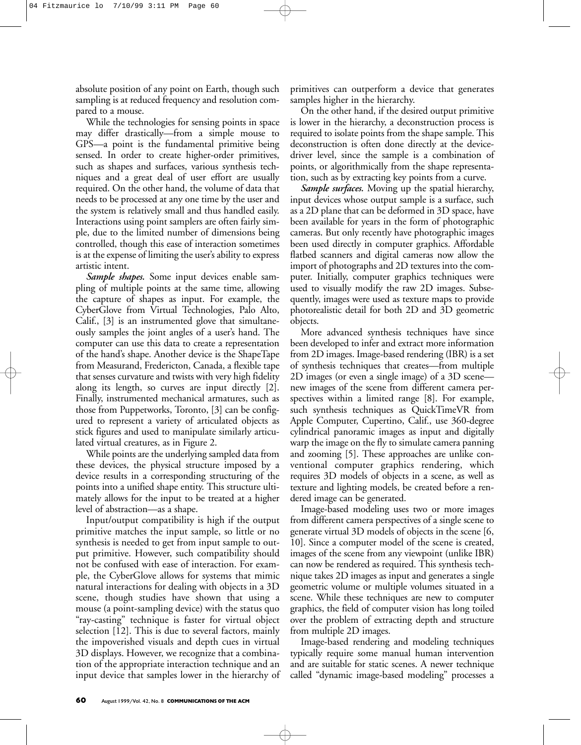absolute position of any point on Earth, though such sampling is at reduced frequency and resolution compared to a mouse.

While the technologies for sensing points in space may differ drastically—from a simple mouse to GPS—a point is the fundamental primitive being sensed. In order to create higher-order primitives, such as shapes and surfaces, various synthesis techniques and a great deal of user effort are usually required. On the other hand, the volume of data that needs to be processed at any one time by the user and the system is relatively small and thus handled easily. Interactions using point samplers are often fairly simple, due to the limited number of dimensions being controlled, though this ease of interaction sometimes is at the expense of limiting the user's ability to express artistic intent.

*Sample shapes.* Some input devices enable sampling of multiple points at the same time, allowing the capture of shapes as input. For example, the CyberGlove from Virtual Technologies, Palo Alto, Calif., [3] is an instrumented glove that simultaneously samples the joint angles of a user's hand. The computer can use this data to create a representation of the hand's shape. Another device is the ShapeTape from Measurand, Fredericton, Canada, a flexible tape that senses curvature and twists with very high fidelity along its length, so curves are input directly [2]. Finally, instrumented mechanical armatures, such as those from Puppetworks, Toronto, [3] can be configured to represent a variety of articulated objects as stick figures and used to manipulate similarly articulated virtual creatures, as in Figure 2.

While points are the underlying sampled data from these devices, the physical structure imposed by a device results in a corresponding structuring of the points into a unified shape entity. This structure ultimately allows for the input to be treated at a higher level of abstraction—as a shape.

Input/output compatibility is high if the output primitive matches the input sample, so little or no synthesis is needed to get from input sample to output primitive. However, such compatibility should not be confused with ease of interaction. For example, the CyberGlove allows for systems that mimic natural interactions for dealing with objects in a 3D scene, though studies have shown that using a mouse (a point-sampling device) with the status quo "ray-casting" technique is faster for virtual object selection [12]. This is due to several factors, mainly the impoverished visuals and depth cues in virtual 3D displays. However, we recognize that a combination of the appropriate interaction technique and an input device that samples lower in the hierarchy of primitives can outperform a device that generates samples higher in the hierarchy.

On the other hand, if the desired output primitive is lower in the hierarchy, a deconstruction process is required to isolate points from the shape sample. This deconstruction is often done directly at the devicedriver level, since the sample is a combination of points, or algorithmically from the shape representation, such as by extracting key points from a curve.

*Sample surfaces.* Moving up the spatial hierarchy, input devices whose output sample is a surface, such as a 2D plane that can be deformed in 3D space, have been available for years in the form of photographic cameras. But only recently have photographic images been used directly in computer graphics. Affordable flatbed scanners and digital cameras now allow the import of photographs and 2D textures into the computer. Initially, computer graphics techniques were used to visually modify the raw 2D images. Subsequently, images were used as texture maps to provide photorealistic detail for both 2D and 3D geometric objects.

More advanced synthesis techniques have since been developed to infer and extract more information from 2D images. Image-based rendering (IBR) is a set of synthesis techniques that creates—from multiple 2D images (or even a single image) of a 3D scene new images of the scene from different camera perspectives within a limited range [8]. For example, such synthesis techniques as QuickTimeVR from Apple Computer, Cupertino, Calif., use 360-degree cylindrical panoramic images as input and digitally warp the image on the fly to simulate camera panning and zooming [5]. These approaches are unlike conventional computer graphics rendering, which requires 3D models of objects in a scene, as well as texture and lighting models, be created before a rendered image can be generated.

Image-based modeling uses two or more images from different camera perspectives of a single scene to generate virtual 3D models of objects in the scene [6, 10]. Since a computer model of the scene is created, images of the scene from any viewpoint (unlike IBR) can now be rendered as required. This synthesis technique takes 2D images as input and generates a single geometric volume or multiple volumes situated in a scene. While these techniques are new to computer graphics, the field of computer vision has long toiled over the problem of extracting depth and structure from multiple 2D images.

Image-based rendering and modeling techniques typically require some manual human intervention and are suitable for static scenes. A newer technique called "dynamic image-based modeling" processes a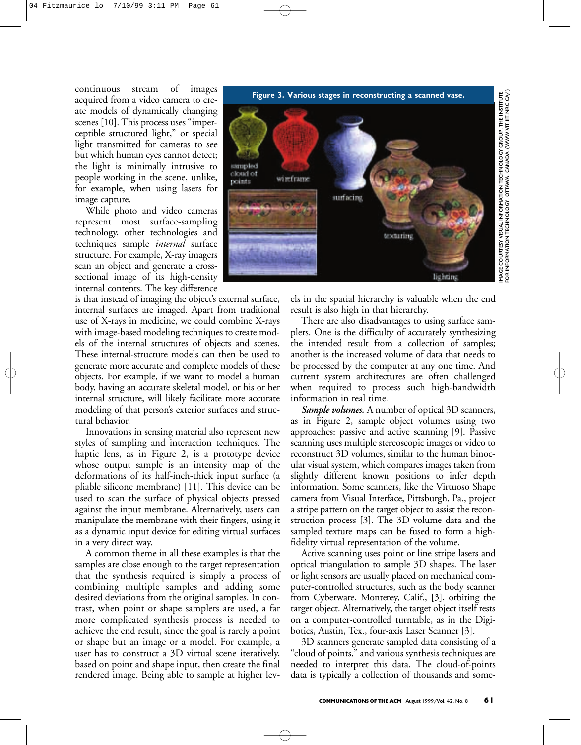MAGE COURTESY VISUAL INFORMATION TECHNOLOGY GROUP, THE INSTITUTE<br>FOR INFORMATION TECHNOLOGY, OTTAWA, CANADA (WWW.VIT.IIT.NRC.CA/) FOR INFORMATION TECHNOLOGY, OTTAWA, CANADA (WWW.VIT.IIT.NRC.CA/) IMAGE COURTESY VISUAL INFORMATION TECHNOLOGY GROUP, THE INSTITUTE

continuous stream of images acquired from a video camera to create models of dynamically changing scenes [10]. This process uses "imperceptible structured light," or special light transmitted for cameras to see but which human eyes cannot detect; the light is minimally intrusive to people working in the scene, unlike, for example, when using lasers for image capture.

While photo and video cameras represent most surface-sampling technology, other technologies and techniques sample *internal* surface structure. For example, X-ray imagers scan an object and generate a crosssectional image of its high-density internal contents. The key difference

is that instead of imaging the object's external surface, internal surfaces are imaged. Apart from traditional use of X-rays in medicine, we could combine X-rays with image-based modeling techniques to create models of the internal structures of objects and scenes. These internal-structure models can then be used to generate more accurate and complete models of these objects. For example, if we want to model a human body, having an accurate skeletal model, or his or her internal structure, will likely facilitate more accurate modeling of that person's exterior surfaces and structural behavior.

Innovations in sensing material also represent new styles of sampling and interaction techniques. The haptic lens, as in Figure 2, is a prototype device whose output sample is an intensity map of the deformations of its half-inch-thick input surface (a pliable silicone membrane) [11]. This device can be used to scan the surface of physical objects pressed against the input membrane. Alternatively, users can manipulate the membrane with their fingers, using it as a dynamic input device for editing virtual surfaces in a very direct way.

A common theme in all these examples is that the samples are close enough to the target representation that the synthesis required is simply a process of combining multiple samples and adding some desired deviations from the original samples. In contrast, when point or shape samplers are used, a far more complicated synthesis process is needed to achieve the end result, since the goal is rarely a point or shape but an image or a model. For example, a user has to construct a 3D virtual scene iteratively, based on point and shape input, then create the final rendered image. Being able to sample at higher levels in the spatial hierarchy is valuable when the end result is also high in that hierarchy.

There are also disadvantages to using surface samplers. One is the difficulty of accurately synthesizing the intended result from a collection of samples; another is the increased volume of data that needs to be processed by the computer at any one time. And current system architectures are often challenged when required to process such high-bandwidth information in real time.

*Sample volumes.* A number of optical 3D scanners, as in Figure 2, sample object volumes using two approaches: passive and active scanning [9]. Passive scanning uses multiple stereoscopic images or video to reconstruct 3D volumes, similar to the human binocular visual system, which compares images taken from slightly different known positions to infer depth information. Some scanners, like the Virtuoso Shape camera from Visual Interface, Pittsburgh, Pa., project a stripe pattern on the target object to assist the reconstruction process [3]. The 3D volume data and the sampled texture maps can be fused to form a highfidelity virtual representation of the volume.

Active scanning uses point or line stripe lasers and optical triangulation to sample 3D shapes. The laser or light sensors are usually placed on mechanical computer-controlled structures, such as the body scanner from Cyberware, Monterey, Calif., [3], orbiting the target object. Alternatively, the target object itself rests on a computer-controlled turntable, as in the Digibotics, Austin, Tex., four-axis Laser Scanner [3].

3D scanners generate sampled data consisting of a "cloud of points," and various synthesis techniques are needed to interpret this data. The cloud-of-points data is typically a collection of thousands and some-

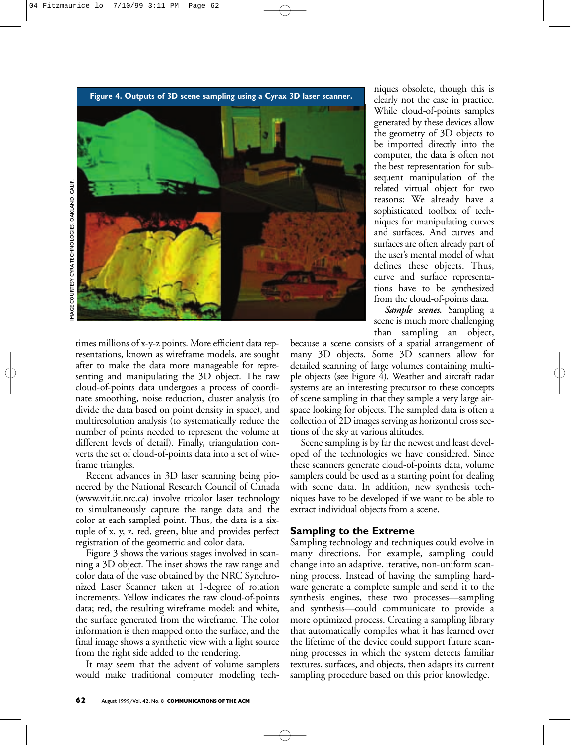

MAGE COURTESY CYRA TECHNOLOGIES, OAKLAND, CALIF. IMAGE COURTESY CYRA TECHNOLOGIES, OAKLAND, CALIF.

> times millions of x-y-z points. More efficient data representations, known as wireframe models, are sought after to make the data more manageable for representing and manipulating the 3D object. The raw cloud-of-points data undergoes a process of coordinate smoothing, noise reduction, cluster analysis (to divide the data based on point density in space), and multiresolution analysis (to systematically reduce the number of points needed to represent the volume at different levels of detail). Finally, triangulation converts the set of cloud-of-points data into a set of wireframe triangles.

> Recent advances in 3D laser scanning being pioneered by the National Research Council of Canada (www.vit.iit.nrc.ca) involve tricolor laser technology to simultaneously capture the range data and the color at each sampled point. Thus, the data is a sixtuple of x, y, z, red, green, blue and provides perfect registration of the geometric and color data.

> Figure 3 shows the various stages involved in scanning a 3D object. The inset shows the raw range and color data of the vase obtained by the NRC Synchronized Laser Scanner taken at 1-degree of rotation increments. Yellow indicates the raw cloud-of-points data; red, the resulting wireframe model; and white, the surface generated from the wireframe. The color information is then mapped onto the surface, and the final image shows a synthetic view with a light source from the right side added to the rendering.

> It may seem that the advent of volume samplers would make traditional computer modeling tech

niques obsolete, though this is clearly not the case in practice. While cloud-of-points samples generated by these devices allow the geometry of 3D objects to be imported directly into the computer, the data is often not the best representation for subsequent manipulation of the related virtual object for two reasons: We already have a sophisticated toolbox of techniques for manipulating curves and surfaces. And curves and surfaces are often already part of the user's mental model of what defines these objects. Thus, curve and surface representations have to be synthesized from the cloud-of-points data.

*Sample scenes.* Sampling a scene is much more challenging than sampling an object,

because a scene consists of a spatial arrangement of many 3D objects. Some 3D scanners allow for detailed scanning of large volumes containing multiple objects (see Figure 4). Weather and aircraft radar systems are an interesting precursor to these concepts of scene sampling in that they sample a very large airspace looking for objects. The sampled data is often a collection of 2D images serving as horizontal cross sections of the sky at various altitudes.

Scene sampling is by far the newest and least developed of the technologies we have considered. Since these scanners generate cloud-of-points data, volume samplers could be used as a starting point for dealing with scene data. In addition, new synthesis techniques have to be developed if we want to be able to extract individual objects from a scene.

### **Sampling to the Extreme**

Sampling technology and techniques could evolve in many directions. For example, sampling could change into an adaptive, iterative, non-uniform scanning process. Instead of having the sampling hardware generate a complete sample and send it to the synthesis engines, these two processes—sampling and synthesis—could communicate to provide a more optimized process. Creating a sampling library that automatically compiles what it has learned over the lifetime of the device could support future scanning processes in which the system detects familiar textures, surfaces, and objects, then adapts its current sampling procedure based on this prior knowledge.